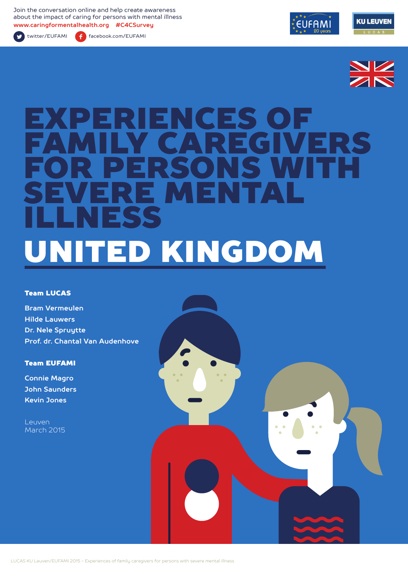Join the conversation online and help create awareness about the impact of caring for persons with mental illness **www.caringformentalhealth.org #C4CSurvey**

twitter/EUFAMI facebook.com/EUFAMI





# ERIENCES OF VERS FOR PERSONS WITH SEVERE MENTAL ILLNESS UNITED KINGDOM

#### Team LUCAS

**Bram Vermeulen Hilde Lauwers Dr. Nele Spruytte Prof. dr. Chantal Van Audenhove**

#### Team EUFAMI

**Connie Magro John Saunders Kevin Jones**

Leuven March 2015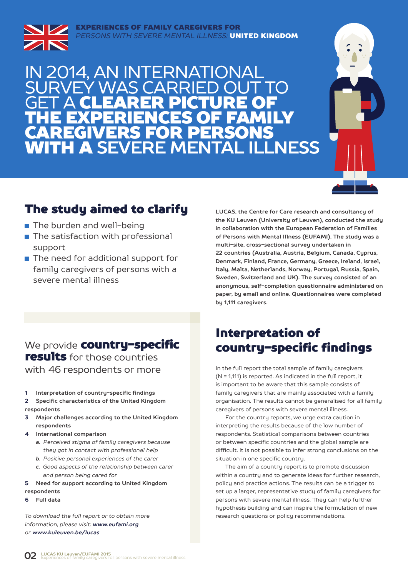#### EXPERIENCES OF FAMILY CAREGIVERS FOR *PERSONS WITH SEVERE MENTAL ILLNESS:* UNITED KINGDOM



### IN 2014, AN INTERNATIONAL WAS CARR **GET A CLEARER PICTURE OF** THE EXPERIENCES OF FAMILY CAREGIVERS FOR PERSONS WITH A **SEVERE MENTAL ILLNESS**



### The study aimed to clarify

- The burden and well-being
- $\blacksquare$  The satisfaction with professional support
- The need for additional support for family caregivers of persons with a severe mental illness

**LUCAS, the Centre for Care research and consultancy of the KU Leuven (University of Leuven), conducted the study in collaboration with the European Federation of Families of Persons with Mental Illness (EUFAMI). The study was a multi-site, cross-sectional survey undertaken in 22 countries (Australia, Austria, Belgium, Canada, Cyprus, Denmark, Finland, France, Germany, Greece, Ireland, Israel, Italy, Malta, Netherlands, Norway, Portugal, Russia, Spain, Sweden, Switzerland and UK). The survey consisted of an anonymous, self-completion questionnaire administered on paper, by email and online. Questionnaires were completed by 1,111 caregivers.** 

### We provide **country-specific** results for those countries with 46 respondents or more

- **1 Interpretation of country-specific findings**
- **2 Specific characteristics of the United Kingdom respondents**
- **3 Major challenges according to the United Kingdom respondents**
- **4 International comparison**
	- *a. Perceived stigma of family caregivers because they got in contact with professional help*
	- *b. Positive personal experiences of the carer*
	- *c. Good aspects of the relationship between carer and person being cared for*
- **5 Need for support according to United Kingdom**
- **respondents**
- **6 Full data**

*To download the full report or to obtain more information, please visit: www.eufami.org or www.kuleuven.be/lucas*

### Interpretation of country-specific findings

In the full report the total sample of family caregivers (N = 1,111) is reported. As indicated in the full report, it is important to be aware that this sample consists of family caregivers that are mainly associated with a family organisation. The results cannot be generalised for all family caregivers of persons with severe mental illness.

For the country reports, we urge extra caution in interpreting the results because of the low number of respondents. Statistical comparisons between countries or between specific countries and the global sample are difficult. It is not possible to infer strong conclusions on the situation in one specific country.

The aim of a country report is to promote discussion within a country and to generate ideas for further research, policy and practice actions. The results can be a trigger to set up a larger, representative study of family caregivers for persons with severe mental illness. They can help further hypothesis building and can inspire the formulation of new research questions or policy recommendations.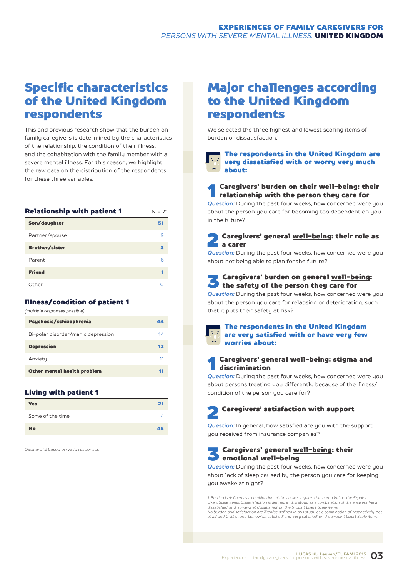### Specific characteristics of the United Kingdom respondents

This and previous research show that the burden on family caregivers is determined by the characteristics of the relationship, the condition of their illness, and the cohabitation with the family member with a severe mental illness. For this reason, we highlight the raw data on the distribution of the respondents for these three variables.

| <b>Relationship with patient 1</b> | $N = 71$ |
|------------------------------------|----------|
| Son/daughter                       | 51       |
| Partner/spouse                     | 9        |
| <b>Brother/sister</b>              | з        |
| Parent                             | 6        |
| <b>Friend</b>                      |          |
| Other                              | ∩        |

#### Illness/condition of patient 1

| (multiple responses possible)      |    |
|------------------------------------|----|
| Psychosis/schizophrenia            | 44 |
| Bi-polar disorder/manic depression | 14 |
| <b>Depression</b>                  | 12 |
| Anxiety                            | 11 |
| Other mental health problem        | 11 |
|                                    |    |

#### Living with patient 1

| <b>Yes</b>       | 21 |
|------------------|----|
| Some of the time |    |
| <b>No</b>        | 45 |

*Data are % based on valid responses*

### Major challenges according to the United Kingdom respondents

We selected the three highest and lowest scoring items of burden or dissatisfaction.<sup>1</sup>

**The respondents in the United Kingdom are** very dissatisfied with or worry very much about:

## **1** Caregivers' burden on their <u>well-being</u>: their<br><u>relationship</u> with the person they care for

*Question:* During the past four weeks, how concerned were you about the person you care for becoming too dependent on you in the future?

### Caregivers' general well-being: their role as a carer

*Question:* During the past four weeks, how concerned were you about not being able to plan for the future?

## S Caregivers' burden on general <u>well-being</u>:<br>the <u>safety of the person they care for</u>

*Question:* During the past four weeks, how concerned were you about the person you care for relapsing or deteriorating, such that it puts their safety at risk?

#### The respondents in the United Kingdom  $\left| \cdot \right|$  are very satisfied with or have very few worries about:

### 1 Caregivers' general well-being: stigma and discrimination

*Question:* During the past four weeks, how concerned were you about persons treating you differently because of the illness/ condition of the person you care for?

## Caregivers' satisfaction with support

**Question:** In general, how satisfied are you with the support you received from insurance companies?

### 3 Caregivers' general well-being: their emotional well-being

*Question:* During the past four weeks, how concerned were you about lack of sleep caused by the person you care for keeping you awake at night?

*1. Burden is defined as a combination of the answers 'quite a bit' and 'a lot' on the 5-point Likert Scale items. Dissatisfaction is defined in this study as a combination of the answers 'very dissatisfied' and 'somewhat dissatisfied' on the 5-point Likert Scale items. No burden and satisfaction are likewise defined in this study as a combination of respectively 'not at all' and 'a little', and 'somewhat satisfied' and 'very satisfied' on the 5-point Likert Scale items.*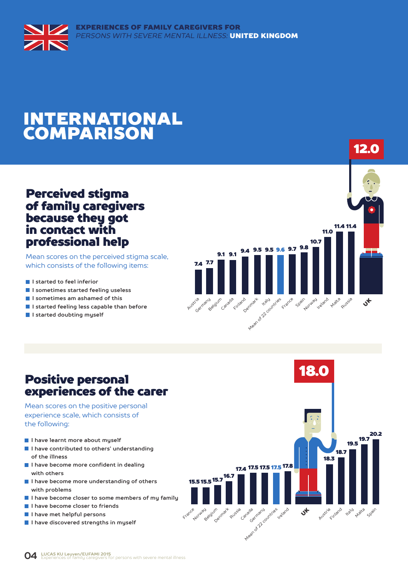

## INTERNATIONAL COMPARISON

### Perceived stigma of family caregivers because they got in contact with professional help

Mean scores on the perceived stigma scale, which consists of the following items:

- **I** I started to feel inferior
- **I sometimes started feeling useless**
- **I sometimes am ashamed of this**
- **I started feeling less capable than before**
- **I started doubting myself**



12.0

### Positive personal experiences of the carer

Mean scores on the positive personal experience scale, which consists of the following:

- **I have learnt more about myself**
- **I have contributed to others' understanding of the illness**
- **I have become more confident in dealing with others**
- **I have become more understanding of others with problems**
- **I have become closer to some members of my family**
- **I have become closer to friends**
- **I have met helpful persons**
- **I have discovered strengths in myself**

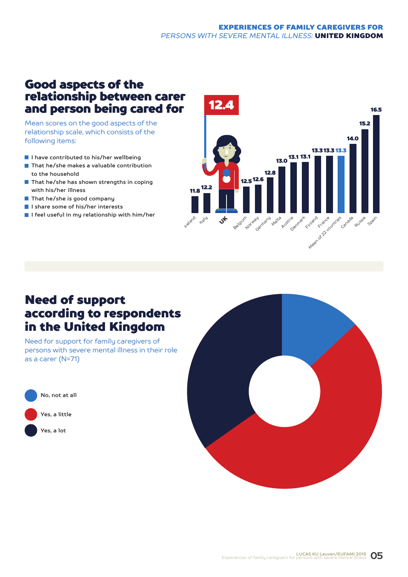### EXPERIENCES OF FAMILY CAREGIVERS FOR *PERSONS WITH SEVERE MENTAL ILLNESS:* UNITED KINGDOM

### Good aspects of the relationship between carer and person being cared for

Mean scores on the good aspects of the relationship scale, which consists of the following items:

- **I have contributed to his/her wellbeing**
- **That he/she makes a valuable contribution to the household**
- **That he/she has shown strengths in coping with his/her illness**
- **That he/she is good company**
- **I share some of his/her interests**
- **I feel useful in my relationship with him/her**



### Need of support according to respondents in the United Kingdom

Need for support for family caregivers of persons with severe mental illness in their role as a carer (N=71)



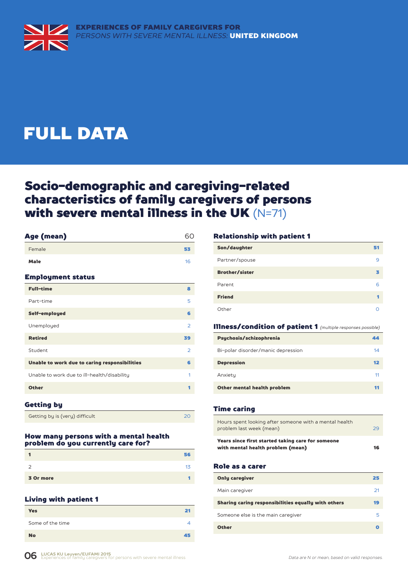## FULL DATA

### Socio-demographic and caregiving-related characteristics of family caregivers of persons with severe mental illness in the UK (N=71)

| Age (mean)                                    | 60             |
|-----------------------------------------------|----------------|
| Female                                        | 53             |
| <b>Male</b>                                   | 16             |
| <b>Employment status</b>                      |                |
| <b>Full-time</b>                              | 8              |
| Part-time                                     | 5              |
| Self-employed                                 | 6              |
| Unemployed                                    | $\overline{2}$ |
| <b>Retired</b>                                | 39             |
| Student                                       | $\overline{2}$ |
| Unable to work due to caring responsibilities | 6              |
| Unable to work due to ill-health/disability   | 1              |
| <b>Other</b>                                  | 1              |
|                                               |                |

#### Getting by

Getting by is (very) difficult 20

#### How many persons with a mental health problem do you currently care for?

|           | 56 |
|-----------|----|
| っ         | 13 |
| 3 Or more |    |

#### Living with patient 1

| <b>Yes</b>       | 21 |
|------------------|----|
| Some of the time |    |
| <b>No</b>        | 45 |

#### Relationship with patient 1

| Son/daughter          | 51 |
|-----------------------|----|
| Partner/spouse        | 9  |
| <b>Brother/sister</b> |    |
| Parent                | 6  |
| <b>Friend</b>         |    |
| Other                 |    |

#### Illness/condition of patient 1 *(multiple responses possible)*

| Psychosis/schizophrenia            | 44 |
|------------------------------------|----|
| Bi-polar disorder/manic depression | 14 |
| <b>Depression</b>                  | 12 |
| Anxiety                            | 11 |
| Other mental health problem        |    |

#### Time caring

| Hours spent looking after someone with a mental health<br>problem last week (mean)     | 29 |
|----------------------------------------------------------------------------------------|----|
| Years since first started taking care for someone<br>with mental health problem (mean) | 16 |

#### Role as a carer

| <b>Only caregiver</b>                               | 25 |
|-----------------------------------------------------|----|
| Main caregiver                                      | 21 |
| Sharing caring responsibilities equally with others | 19 |
| Someone else is the main caregiver                  | 5  |
| <b>Other</b>                                        |    |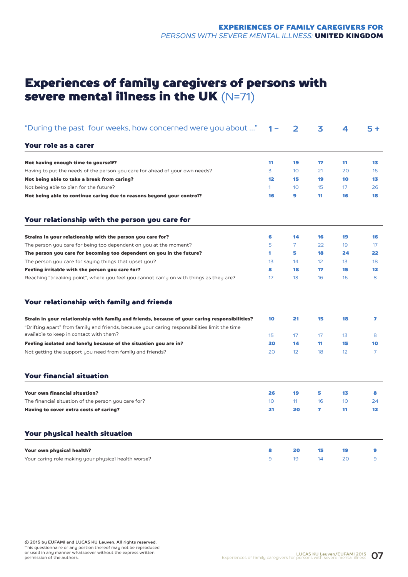### Experiences of family caregivers of persons with severe mental illness in the UK  $(N=71)$

| "During the past four weeks, how concerned were you about "                                                                                                                                                                               | 1 –             | $\overline{\mathbf{2}}$ | 3        | 4                     | $5+$                 |
|-------------------------------------------------------------------------------------------------------------------------------------------------------------------------------------------------------------------------------------------|-----------------|-------------------------|----------|-----------------------|----------------------|
| Your role as a carer                                                                                                                                                                                                                      |                 |                         |          |                       |                      |
| Not having enough time to yourself?                                                                                                                                                                                                       | 11              | 19                      | 17       | 11                    | 13                   |
| Having to put the needs of the person you care for ahead of your own needs?                                                                                                                                                               | 3               | 10 <sup>°</sup>         | 21       | 20                    | 16                   |
| Not being able to take a break from caring?                                                                                                                                                                                               | 12              | 15                      | 19       | 10                    | 13                   |
| Not being able to plan for the future?                                                                                                                                                                                                    | $\mathbf{1}$    | 10 <sup>°</sup>         | 15       | 17                    | 26                   |
| Not being able to continue caring due to reasons beyond your control?                                                                                                                                                                     | 16              | 9                       | 11       | 16                    | 18                   |
| Your relationship with the person you care for                                                                                                                                                                                            |                 |                         |          |                       |                      |
| Strains in your relationship with the person you care for?                                                                                                                                                                                | 6               | 14                      | 16       | 19                    | 16                   |
| The person you care for being too dependent on you at the moment?                                                                                                                                                                         | 5               | 7                       | 22       | 19                    | 17                   |
| The person you care for becoming too dependent on you in the future?                                                                                                                                                                      | 1               | 5                       | 18       | 24                    | 22                   |
| The person you care for saying things that upset you?                                                                                                                                                                                     | 13              | 14                      | 12       | 13                    | 18                   |
| Feeling irritable with the person you care for?                                                                                                                                                                                           | 8               | 18                      | 17       | 15                    | 12                   |
| Reaching "breaking point", where you feel you cannot carry on with things as they are?                                                                                                                                                    | 17              | 13                      | 16       | 16                    | 8                    |
| Your relationship with family and friends                                                                                                                                                                                                 |                 |                         |          |                       |                      |
| Strain in your relationship with family and friends, because of your caring responsibilities?<br>"Drifting apart" from family and friends, because your caring responsibilities limit the time<br>available to keep in contact with them? | 10              | 21                      | 15       | 18                    | 7                    |
|                                                                                                                                                                                                                                           | 15              | 17                      | 17       | 13                    | 8                    |
| Feeling isolated and lonely because of the situation you are in?<br>Not getting the support you need from family and friends?                                                                                                             | 20<br>20        | 14<br>12                | 11<br>18 | 15<br>12 <sup>2</sup> | 10<br>$\overline{7}$ |
| <b>Your financial situation</b>                                                                                                                                                                                                           |                 |                         |          |                       |                      |
| <b>Your own financial situation?</b>                                                                                                                                                                                                      | 26              | 19                      | 5        | 13                    | 8                    |
| The financial situation of the person you care for?                                                                                                                                                                                       | 10 <sup>°</sup> | 11                      | 16       | 10                    | 24                   |
| Having to cover extra costs of caring?                                                                                                                                                                                                    | 21              | 20                      | 7        | 11                    | $12 \overline{ }$    |
| Your physical health situation                                                                                                                                                                                                            |                 |                         |          |                       |                      |
| Your own physical health?                                                                                                                                                                                                                 | 8               | 20                      | 15       | 19                    | 9                    |
| Your caring role making your physical health worse?                                                                                                                                                                                       | 9               | 19                      | 14       | 20                    | 9                    |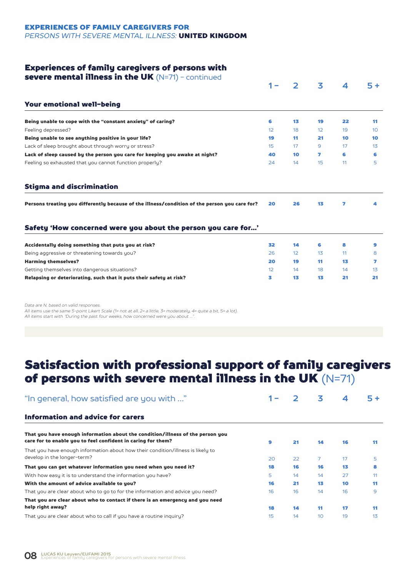### EXPERIENCES OF FAMILY CAREGIVERS FOR

*PERSONS WITH SEVERE MENTAL ILLNESS:* UNITED KINGDOM

### Experiences of family caregivers of persons with

| severe mental illness in the UK $(N=71)$ - continued                                          |                 |                 |    |    |                 |
|-----------------------------------------------------------------------------------------------|-----------------|-----------------|----|----|-----------------|
|                                                                                               |                 | $\mathbf{z}$    | 3  | 4  | $5+$            |
| Your emotional well-being                                                                     |                 |                 |    |    |                 |
| Being unable to cope with the "constant anxiety" of caring?                                   | 6               | 13              | 19 | 22 | 11              |
| Feeling depressed?                                                                            | 12 <sup>2</sup> | 18              | 12 | 19 | 10 <sup>°</sup> |
| Being unable to see anything positive in your life?                                           | 19              | 11              | 21 | 10 | 10              |
| Lack of sleep brought about through worry or stress?                                          | 15              | 17              | 9  | 17 | 1 <sub>3</sub>  |
| Lack of sleep caused by the person you care for keeping you awake at night?                   | 40              | 10              | 7  | 6  | 6               |
| Feeling so exhausted that you cannot function properly?                                       | 24              | 14              | 15 | 11 | 5               |
| <b>Stigma and discrimination</b>                                                              |                 |                 |    |    |                 |
| Persons treating you differently because of the illness/condition of the person you care for? | 20              | 26              | 13 | 7  | 4               |
|                                                                                               |                 |                 |    |    |                 |
| Safety 'How concerned were you about the person you care for'                                 |                 |                 |    |    |                 |
| Accidentally doing something that puts you at risk?                                           | 32              | 14              | 6  | 8  | 9               |
| Being aggressive or threatening towards you?                                                  | 26              | 12 <sup>°</sup> | 13 | 11 | 8               |
| <b>Harming themselves?</b>                                                                    | 20              | 19              | 11 | 13 | 7               |
| Getting themselves into dangerous situations?                                                 | 12 <sup>2</sup> | 14              | 18 | 14 | $1\overline{5}$ |

*Data are N, based on valid responses.*

*All items use the same 5-point Likert Scale (1= not at all, 2= a little, 3= moderately, 4= quite a bit, 5= a lot). All items start with "During the past four weeks, how concerned were you about …".*

### Satisfaction with professional support of family caregivers of persons with severe mental illness in the UK  $(N=71)$

| "In general, how satisfied are you with "                                                                                                      |    |    | 3               | 4  | 5+             |
|------------------------------------------------------------------------------------------------------------------------------------------------|----|----|-----------------|----|----------------|
| Information and advice for carers                                                                                                              |    |    |                 |    |                |
| That you have enough information about the condition/illness of the person you<br>care for to enable you to feel confident in caring for them? | 9  | 21 | 14              | 16 | 11             |
| That you have enough information about how their condition/illness is likely to<br>develop in the longer-term?                                 | 20 | 22 | $\overline{7}$  | 17 | 5              |
| That you can get whatever information you need when you need it?                                                                               | 18 | 16 | 16              | 13 | 8              |
| With how easy it is to understand the information you have?                                                                                    | 5  | 14 | 14              | 27 | 11             |
| With the amount of advice available to you?                                                                                                    | 16 | 21 | 13              | 10 | 11             |
| That you are clear about who to go to for the information and advice you need?                                                                 | 16 | 16 | 14              | 16 | 9              |
| That you are clear about who to contact if there is an emergency and you need                                                                  |    |    |                 |    |                |
| help right away?                                                                                                                               | 18 | 14 | 11              | 17 | 11             |
| That you are clear about who to call if you have a routine inquiry?                                                                            | 15 | 14 | 10 <sup>°</sup> | 19 | 1 <sub>3</sub> |